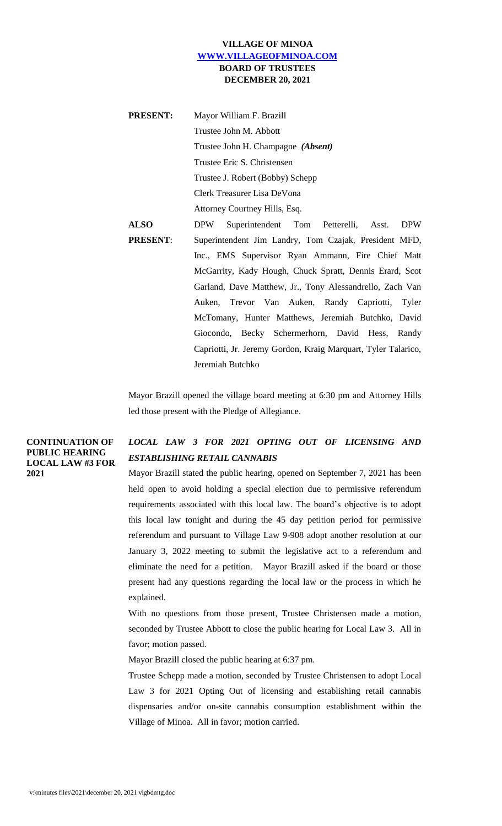# **VILLAGE OF MINOA [WWW.VILLAGEOFMINOA.COM](http://www.villageofminoa.com/) BOARD OF TRUSTEES DECEMBER 20, 2021**

| <b>PRESENT:</b> | Mayor William F. Brazill                                         |
|-----------------|------------------------------------------------------------------|
|                 | Trustee John M. Abbott                                           |
|                 | Trustee John H. Champagne (Absent)                               |
|                 | Trustee Eric S. Christensen                                      |
|                 | Trustee J. Robert (Bobby) Schepp                                 |
|                 | Clerk Treasurer Lisa DeVona                                      |
|                 | Attorney Courtney Hills, Esq.                                    |
| <b>ALSO</b>     | Superintendent Tom Petterelli, Asst.<br><b>DPW</b><br><b>DPW</b> |
| <b>PRESENT:</b> | Superintendent Jim Landry, Tom Czajak, President MFD,            |
|                 | Inc., EMS Supervisor Ryan Ammann, Fire Chief Matt                |
|                 | McGarrity, Kady Hough, Chuck Spratt, Dennis Erard, Scot          |
|                 | Garland, Dave Matthew, Jr., Tony Alessandrello, Zach Van         |
|                 | Auken, Trevor Van Auken, Randy Capriotti, Tyler                  |
|                 | McTomany, Hunter Matthews, Jeremiah Butchko, David               |
|                 | Giocondo, Becky Schermerhorn, David Hess, Randy                  |
|                 | Capriotti, Jr. Jeremy Gordon, Kraig Marquart, Tyler Talarico,    |
|                 | Jeremiah Butchko                                                 |

Mayor Brazill opened the village board meeting at 6:30 pm and Attorney Hills led those present with the Pledge of Allegiance.

**CONTINUATION OF PUBLIC HEARING LOCAL LAW #3 FOR 2021**

# *LOCAL LAW 3 FOR 2021 OPTING OUT OF LICENSING AND ESTABLISHING RETAIL CANNABIS*

Mayor Brazill stated the public hearing, opened on September 7, 2021 has been held open to avoid holding a special election due to permissive referendum requirements associated with this local law. The board's objective is to adopt this local law tonight and during the 45 day petition period for permissive referendum and pursuant to Village Law 9-908 adopt another resolution at our January 3, 2022 meeting to submit the legislative act to a referendum and eliminate the need for a petition. Mayor Brazill asked if the board or those present had any questions regarding the local law or the process in which he explained.

With no questions from those present, Trustee Christensen made a motion, seconded by Trustee Abbott to close the public hearing for Local Law 3. All in favor; motion passed.

Mayor Brazill closed the public hearing at 6:37 pm.

Trustee Schepp made a motion, seconded by Trustee Christensen to adopt Local Law 3 for 2021 Opting Out of licensing and establishing retail cannabis dispensaries and/or on-site cannabis consumption establishment within the Village of Minoa. All in favor; motion carried.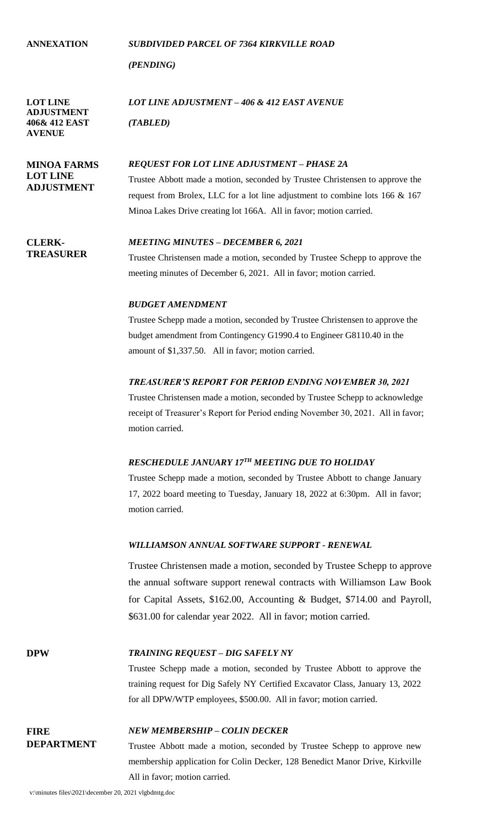**ANNEXATION** *SUBDIVIDED PARCEL OF 7364 KIRKVILLE ROAD (PENDING)* **LOT LINE ADJUSTMENT 406& 412 EAST AVENUE** *LOT LINE ADJUSTMENT – 406 & 412 EAST AVENUE (TABLED)* **MINOA FARMS LOT LINE ADJUSTMENT** *REQUEST FOR LOT LINE ADJUSTMENT – PHASE 2A* Trustee Abbott made a motion, seconded by Trustee Christensen to approve the request from Brolex, LLC for a lot line adjustment to combine lots 166 & 167 Minoa Lakes Drive creating lot 166A. All in favor; motion carried. **CLERK-TREASURER** *MEETING MINUTES – DECEMBER 6, 2021* Trustee Christensen made a motion, seconded by Trustee Schepp to approve the meeting minutes of December 6, 2021. All in favor; motion carried. *BUDGET AMENDMENT* Trustee Schepp made a motion, seconded by Trustee Christensen to approve the budget amendment from Contingency G1990.4 to Engineer G8110.40 in the amount of \$1,337.50. All in favor; motion carried. *TREASURER'S REPORT FOR PERIOD ENDING NOVEMBER 30, 2021* Trustee Christensen made a motion, seconded by Trustee Schepp to acknowledge receipt of Treasurer's Report for Period ending November 30, 2021. All in favor; motion carried. *RESCHEDULE JANUARY 17TH MEETING DUE TO HOLIDAY* Trustee Schepp made a motion, seconded by Trustee Abbott to change January 17, 2022 board meeting to Tuesday, January 18, 2022 at 6:30pm. All in favor; motion carried. *WILLIAMSON ANNUAL SOFTWARE SUPPORT - RENEWAL* Trustee Christensen made a motion, seconded by Trustee Schepp to approve the annual software support renewal contracts with Williamson Law Book for Capital Assets, \$162.00, Accounting & Budget, \$714.00 and Payroll, \$631.00 for calendar year 2022. All in favor; motion carried. **DPW** *TRAINING REQUEST – DIG SAFELY NY* Trustee Schepp made a motion, seconded by Trustee Abbott to approve the

*NEW MEMBERSHIP – COLIN DECKER*

Trustee Abbott made a motion, seconded by Trustee Schepp to approve new membership application for Colin Decker, 128 Benedict Manor Drive, Kirkville All in favor; motion carried.

training request for Dig Safely NY Certified Excavator Class, January 13, 2022

for all DPW/WTP employees, \$500.00. All in favor; motion carried.

**FIRE** 

**DEPARTMENT**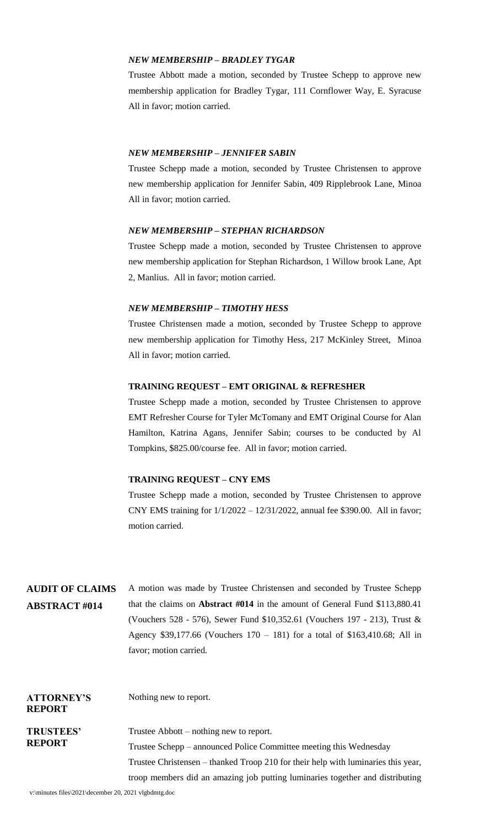## *NEW MEMBERSHIP – BRADLEY TYGAR*

Trustee Abbott made a motion, seconded by Trustee Schepp to approve new membership application for Bradley Tygar, 111 Cornflower Way, E. Syracuse All in favor; motion carried.

## *NEW MEMBERSHIP – JENNIFER SABIN*

Trustee Schepp made a motion, seconded by Trustee Christensen to approve new membership application for Jennifer Sabin, 409 Ripplebrook Lane, Minoa All in favor; motion carried.

#### *NEW MEMBERSHIP – STEPHAN RICHARDSON*

Trustee Schepp made a motion, seconded by Trustee Christensen to approve new membership application for Stephan Richardson, 1 Willow brook Lane, Apt 2, Manlius. All in favor; motion carried.

#### *NEW MEMBERSHIP – TIMOTHY HESS*

Trustee Christensen made a motion, seconded by Trustee Schepp to approve new membership application for Timothy Hess, 217 McKinley Street, Minoa All in favor; motion carried.

#### **TRAINING REQUEST – EMT ORIGINAL & REFRESHER**

Trustee Schepp made a motion, seconded by Trustee Christensen to approve EMT Refresher Course for Tyler McTomany and EMT Original Course for Alan Hamilton, Katrina Agans, Jennifer Sabin; courses to be conducted by Al Tompkins, \$825.00/course fee. All in favor; motion carried.

## **TRAINING REQUEST – CNY EMS**

Trustee Schepp made a motion, seconded by Trustee Christensen to approve CNY EMS training for 1/1/2022 – 12/31/2022, annual fee \$390.00. All in favor; motion carried.

| <b>AUDIT OF CLAIMS</b> | A motion was made by Trustee Christensen and seconded by Trustee Schepp             |
|------------------------|-------------------------------------------------------------------------------------|
| <b>ABSTRACT #014</b>   | that the claims on <b>Abstract</b> #014 in the amount of General Fund $$113,880.41$ |
|                        | (Vouchers 528 - 576), Sewer Fund \$10,352.61 (Vouchers 197 - 213), Trust &          |
|                        | Agency \$39,177.66 (Vouchers $170 - 181$ ) for a total of \$163,410.68; All in      |
|                        | favor; motion carried.                                                              |
|                        |                                                                                     |
|                        |                                                                                     |
|                        |                                                                                     |

| <b>ATTORNEY'S</b><br><b>REPORT</b> | Nothing new to report.                                                                                                                                  |
|------------------------------------|---------------------------------------------------------------------------------------------------------------------------------------------------------|
| <b>TRUSTEES'</b><br><b>REPORT</b>  | Trustee Abbott $-$ nothing new to report.                                                                                                               |
|                                    | Trustee Schepp – announced Police Committee meeting this Wednesday<br>Trustee Christensen – thanked Troop 210 for their help with luminaries this year, |
|                                    | troop members did an amazing job putting luminaries together and distributing                                                                           |